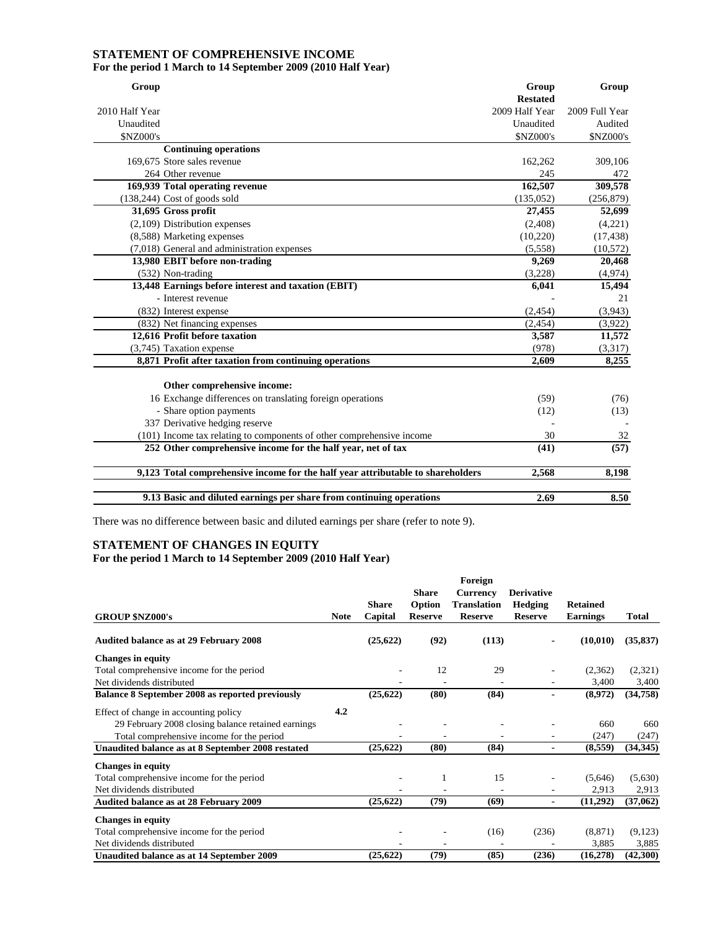## **STATEMENT OF COMPREHENSIVE INCOME For the period 1 March to 14 September 2009 (2010 Half Year)**

| Group          |                                                                                 | Group           | Group          |
|----------------|---------------------------------------------------------------------------------|-----------------|----------------|
|                |                                                                                 | <b>Restated</b> |                |
| 2010 Half Year |                                                                                 | 2009 Half Year  | 2009 Full Year |
| Unaudited      |                                                                                 | Unaudited       | Audited        |
| \$NZ000's      |                                                                                 | \$NZ000's       | \$NZ000's      |
|                | <b>Continuing operations</b>                                                    |                 |                |
|                | 169,675 Store sales revenue                                                     | 162,262         | 309,106        |
|                | 264 Other revenue                                                               | 245             | 472            |
|                | 169,939 Total operating revenue                                                 | 162,507         | 309,578        |
|                | (138,244) Cost of goods sold                                                    | (135, 052)      | (256, 879)     |
|                | 31,695 Gross profit                                                             | 27,455          | 52,699         |
|                | $(2,109)$ Distribution expenses                                                 | (2,408)         | (4,221)        |
|                | (8,588) Marketing expenses                                                      | (10, 220)       | (17, 438)      |
|                | (7,018) General and administration expenses                                     | (5,558)         | (10,572)       |
|                | 13,980 EBIT before non-trading                                                  | 9,269           | 20,468         |
|                | (532) Non-trading                                                               | (3,228)         | (4,974)        |
|                | 13,448 Earnings before interest and taxation (EBIT)                             | 6,041           | 15,494         |
|                | - Interest revenue                                                              |                 | 21             |
|                | (832) Interest expense                                                          | (2, 454)        | (3,943)        |
|                | (832) Net financing expenses                                                    | (2, 454)        | (3,922)        |
|                | 12,616 Profit before taxation                                                   | 3,587           | 11,572         |
|                | (3,745) Taxation expense                                                        | (978)           | (3,317)        |
|                | 8,871 Profit after taxation from continuing operations                          | 2,609           | 8,255          |
|                |                                                                                 |                 |                |
|                | Other comprehensive income:                                                     |                 |                |
|                | 16 Exchange differences on translating foreign operations                       | (59)            | (76)           |
|                | - Share option payments                                                         | (12)            | (13)           |
|                | 337 Derivative hedging reserve                                                  |                 |                |
|                | (101) Income tax relating to components of other comprehensive income           | 30              | 32             |
|                | 252 Other comprehensive income for the half year, net of tax                    | (41)            | (57)           |
|                | 9,123 Total comprehensive income for the half year attributable to shareholders | 2,568           | 8,198          |
|                |                                                                                 |                 |                |
|                | 9.13 Basic and diluted earnings per share from continuing operations            | 2.69            | 8.50           |

There was no difference between basic and diluted earnings per share (refer to note 9).

## **STATEMENT OF CHANGES IN EQUITY For the period 1 March to 14 September 2009 (2010 Half Year)**

|                                                    |             |              |                | Foreign         |                   |                 |              |
|----------------------------------------------------|-------------|--------------|----------------|-----------------|-------------------|-----------------|--------------|
|                                                    |             |              | <b>Share</b>   | <b>Currency</b> | <b>Derivative</b> |                 |              |
|                                                    |             | <b>Share</b> | Option         | Translation     | <b>Hedging</b>    | <b>Retained</b> |              |
| <b>GROUP \$NZ000's</b>                             | <b>Note</b> | Capital      | <b>Reserve</b> | <b>Reserve</b>  | <b>Reserve</b>    | <b>Earnings</b> | <b>Total</b> |
| <b>Audited balance as at 29 February 2008</b>      |             | (25, 622)    | (92)           | (113)           |                   | (10, 010)       | (35, 837)    |
| <b>Changes in equity</b>                           |             |              |                |                 |                   |                 |              |
| Total comprehensive income for the period          |             |              | 12             | 29              | ۰                 | (2,362)         | (2,321)      |
| Net dividends distributed                          |             |              |                |                 |                   | 3,400           | 3,400        |
| Balance 8 September 2008 as reported previously    |             | (25, 622)    | (80)           | (84)            |                   | (8,972)         | (34,758)     |
| Effect of change in accounting policy              | 4.2         |              |                |                 |                   |                 |              |
| 29 February 2008 closing balance retained earnings |             |              |                |                 |                   | 660             | 660          |
| Total comprehensive income for the period          |             |              |                |                 |                   | (247)           | (247)        |
| Unaudited balance as at 8 September 2008 restated  |             | (25, 622)    | (80)           | (84)            | $\blacksquare$    | (8,559)         | (34, 345)    |
| <b>Changes in equity</b>                           |             |              |                |                 |                   |                 |              |
| Total comprehensive income for the period          |             |              |                | 15              |                   | (5,646)         | (5,630)      |
| Net dividends distributed                          |             |              |                |                 |                   | 2,913           | 2,913        |
| Audited balance as at 28 February 2009             |             | (25, 622)    | (79)           | (69)            | $\blacksquare$    | (11,292)        | (37,062)     |
| <b>Changes in equity</b>                           |             |              |                |                 |                   |                 |              |
| Total comprehensive income for the period          |             |              |                | (16)            | (236)             | (8, 871)        | (9,123)      |
| Net dividends distributed                          |             |              |                |                 |                   | 3,885           | 3,885        |
| Unaudited balance as at 14 September 2009          |             | (25, 622)    | (79)           | (85)            | (236)             | (16,278)        | (42,300)     |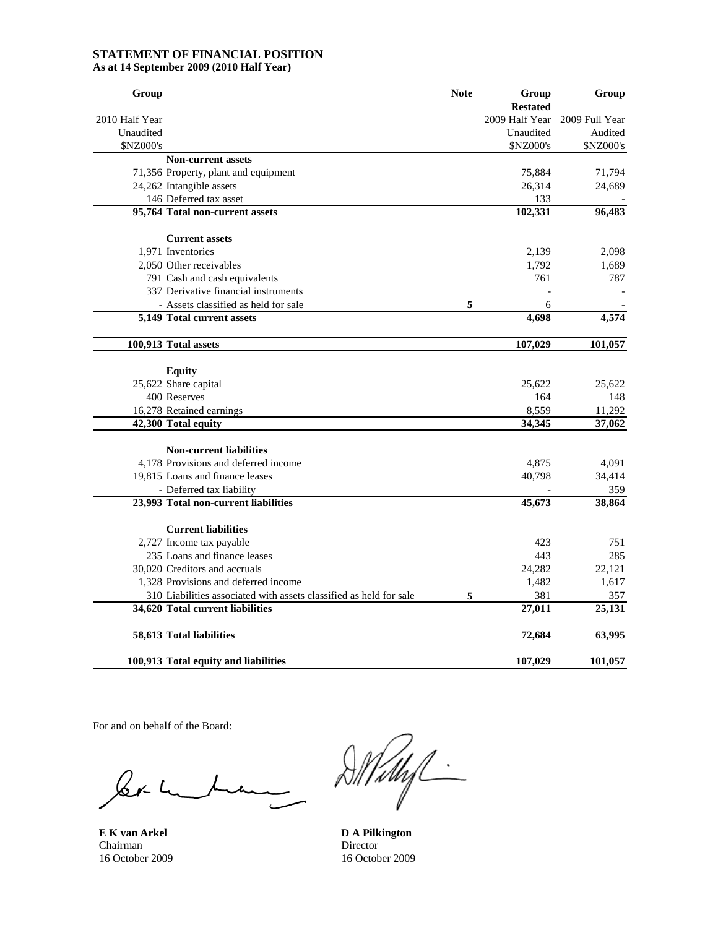#### **STATEMENT OF FINANCIAL POSITION As at 14 September 2009 (2010 Half Year)**

| Group                                                              | <b>Note</b> | Group                             | Group          |
|--------------------------------------------------------------------|-------------|-----------------------------------|----------------|
| 2010 Half Year                                                     |             | <b>Restated</b><br>2009 Half Year | 2009 Full Year |
| Unaudited                                                          |             | Unaudited                         | Audited        |
| \$NZ000's                                                          |             | \$NZ000's                         | \$NZ000's      |
| <b>Non-current assets</b>                                          |             |                                   |                |
| 71,356 Property, plant and equipment                               |             | 75,884                            | 71,794         |
| 24,262 Intangible assets                                           |             | 26,314                            | 24,689         |
| 146 Deferred tax asset                                             |             | 133                               |                |
| 95,764 Total non-current assets                                    |             | 102,331                           | 96,483         |
| <b>Current assets</b>                                              |             |                                   |                |
| 1,971 Inventories                                                  |             | 2,139                             | 2,098          |
| 2,050 Other receivables                                            |             | 1,792                             | 1,689          |
| 791 Cash and cash equivalents                                      |             | 761                               | 787            |
| 337 Derivative financial instruments                               |             |                                   |                |
| - Assets classified as held for sale                               | 5           | 6                                 |                |
| 5,149 Total current assets                                         |             | 4,698                             | 4,574          |
| 100,913 Total assets                                               |             | 107,029                           | 101,057        |
| <b>Equity</b>                                                      |             |                                   |                |
| 25,622 Share capital                                               |             | 25,622                            | 25,622         |
| 400 Reserves                                                       |             | 164                               | 148            |
| 16,278 Retained earnings                                           |             | 8,559                             | 11,292         |
| 42,300 Total equity                                                |             | 34,345                            | 37,062         |
|                                                                    |             |                                   |                |
| <b>Non-current liabilities</b>                                     |             |                                   |                |
| 4,178 Provisions and deferred income                               |             | 4,875                             | 4,091          |
| 19,815 Loans and finance leases                                    |             | 40,798                            | 34,414         |
| - Deferred tax liability                                           |             |                                   | 359            |
| 23,993 Total non-current liabilities                               |             | 45,673                            | 38,864         |
| <b>Current liabilities</b>                                         |             |                                   |                |
| 2,727 Income tax payable                                           |             | 423                               | 751            |
| 235 Loans and finance leases                                       |             | 443                               | 285            |
| 30,020 Creditors and accruals                                      |             | 24,282                            | 22,121         |
| 1,328 Provisions and deferred income                               |             | 1,482                             | 1,617          |
| 310 Liabilities associated with assets classified as held for sale | 5           | 381                               | 357            |
| 34,620 Total current liabilities                                   |             | 27,011                            | 25,131         |
| 58,613 Total liabilities                                           |             | 72,684                            | 63,995         |
| 100,913 Total equity and liabilities                               |             | 107,029                           | 101,057        |

For and on behalf of the Board:

ler-

**E K van Arkel D A Pilkington Chairman** Chairman Director<br>
16 October 2009 16 October

DMMf

16 October 2009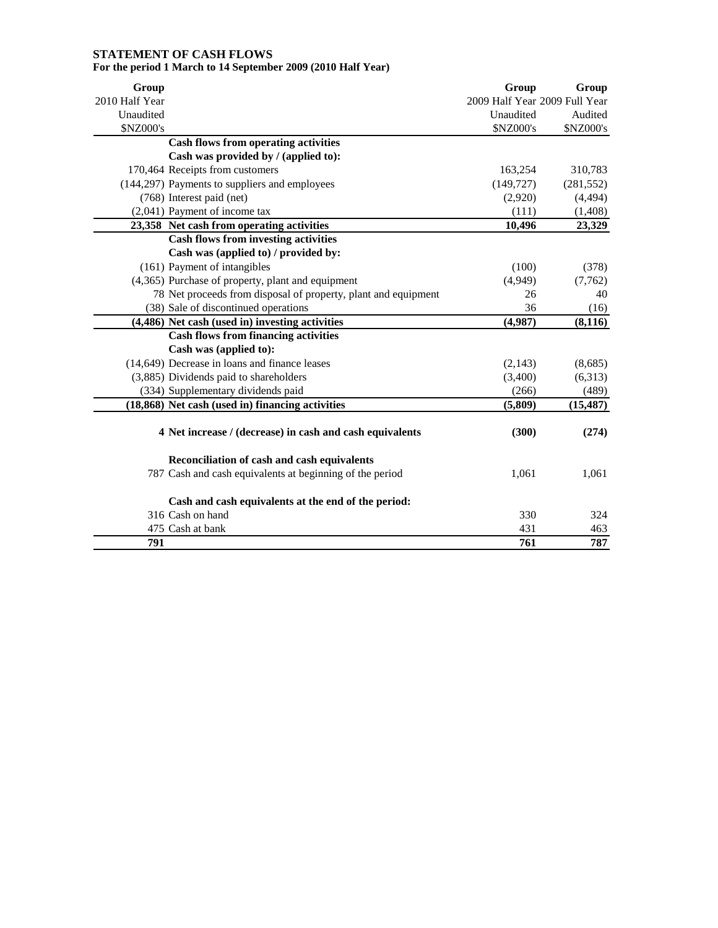# **STATEMENT OF CASH FLOWS For the period 1 March to 14 September 2009 (2010 Half Year)**

| Group          |                                                                                     | Group                         | Group      |
|----------------|-------------------------------------------------------------------------------------|-------------------------------|------------|
| 2010 Half Year |                                                                                     | 2009 Half Year 2009 Full Year |            |
| Unaudited      |                                                                                     | Unaudited                     | Audited    |
| \$NZ000's      |                                                                                     | \$NZ000's                     | \$NZ000's  |
|                | <b>Cash flows from operating activities</b><br>Cash was provided by / (applied to): |                               |            |
|                | 170,464 Receipts from customers                                                     | 163,254                       | 310,783    |
|                | (144,297) Payments to suppliers and employees                                       | (149, 727)                    | (281, 552) |
|                | (768) Interest paid (net)                                                           | (2,920)                       | (4, 494)   |
|                | (2,041) Payment of income tax                                                       | (111)                         | (1, 408)   |
|                | 23,358 Net cash from operating activities                                           | 10,496                        | 23,329     |
|                | <b>Cash flows from investing activities</b>                                         |                               |            |
|                | Cash was (applied to) / provided by:                                                |                               |            |
|                | (161) Payment of intangibles                                                        | (100)                         | (378)      |
|                | (4,365) Purchase of property, plant and equipment                                   | (4,949)                       | (7, 762)   |
|                | 78 Net proceeds from disposal of property, plant and equipment                      | 26                            | 40         |
|                | (38) Sale of discontinued operations                                                | 36                            | (16)       |
|                | (4,486) Net cash (used in) investing activities                                     | (4,987)                       | (8, 116)   |
|                | <b>Cash flows from financing activities</b>                                         |                               |            |
|                | Cash was (applied to):                                                              |                               |            |
|                | (14,649) Decrease in loans and finance leases                                       | (2,143)                       | (8,685)    |
|                | (3,885) Dividends paid to shareholders                                              | (3,400)                       | (6,313)    |
|                | (334) Supplementary dividends paid                                                  | (266)                         | (489)      |
|                | (18,868) Net cash (used in) financing activities                                    | (5, 809)                      | (15, 487)  |
|                | 4 Net increase / (decrease) in cash and cash equivalents                            | (300)                         | (274)      |
|                | Reconciliation of cash and cash equivalents                                         |                               |            |
|                | 787 Cash and cash equivalents at beginning of the period                            | 1,061                         | 1,061      |
|                | Cash and cash equivalents at the end of the period:                                 |                               |            |
|                | 316 Cash on hand                                                                    | 330                           | 324        |
|                | 475 Cash at bank                                                                    | 431                           | 463        |
| 791            |                                                                                     | 761                           | 787        |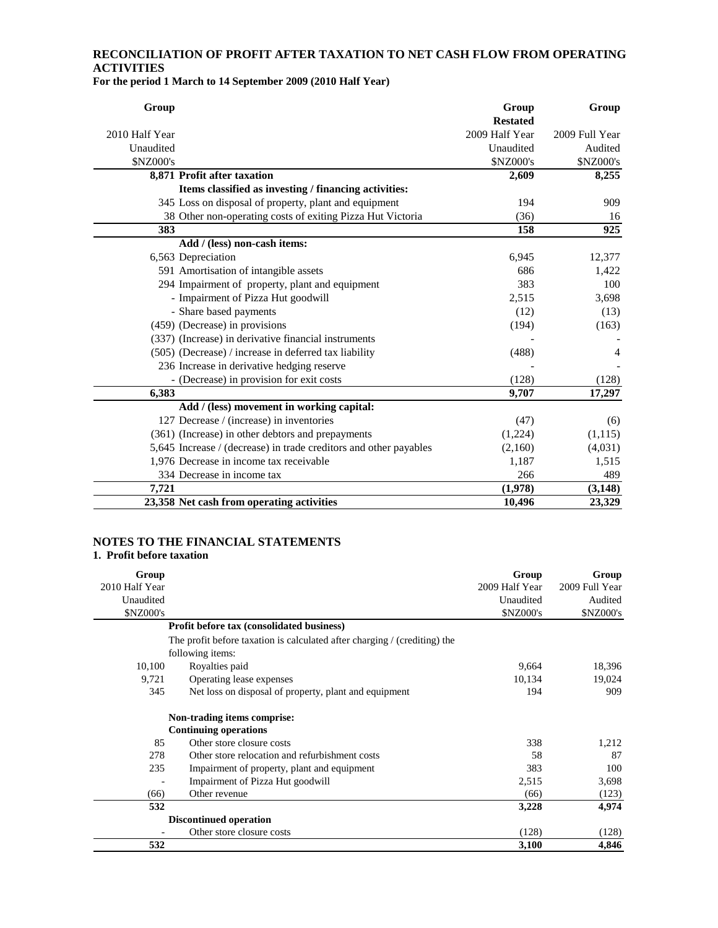# **RECONCILIATION OF PROFIT AFTER TAXATION TO NET CASH FLOW FROM OPERATING ACTIVITIES**

**For the period 1 March to 14 September 2009 (2010 Half Year)** 

| Group          |                                                                   | Group           | Group          |
|----------------|-------------------------------------------------------------------|-----------------|----------------|
|                |                                                                   | <b>Restated</b> |                |
| 2010 Half Year |                                                                   | 2009 Half Year  | 2009 Full Year |
| Unaudited      |                                                                   | Unaudited       | Audited        |
| \$NZ000's      |                                                                   | \$NZ000's       | \$NZ000's      |
|                | 8,871 Profit after taxation                                       | 2,609           | 8,255          |
|                | Items classified as investing / financing activities:             |                 |                |
|                | 345 Loss on disposal of property, plant and equipment             | 194             | 909            |
|                | 38 Other non-operating costs of exiting Pizza Hut Victoria        | (36)            | 16             |
| 383            |                                                                   | 158             | 925            |
|                | Add / (less) non-cash items:                                      |                 |                |
|                | 6,563 Depreciation                                                | 6,945           | 12,377         |
|                | 591 Amortisation of intangible assets                             | 686             | 1,422          |
|                | 294 Impairment of property, plant and equipment                   | 383             | 100            |
|                | - Impairment of Pizza Hut goodwill                                | 2,515           | 3,698          |
|                | - Share based payments                                            | (12)            | (13)           |
|                | (459) (Decrease) in provisions                                    | (194)           | (163)          |
|                | (337) (Increase) in derivative financial instruments              |                 |                |
|                | (505) (Decrease) / increase in deferred tax liability             | (488)           | 4              |
|                | 236 Increase in derivative hedging reserve                        |                 |                |
|                | (Decrease) in provision for exit costs                            | (128)           | (128)          |
| 6,383          |                                                                   | 9,707           | 17,297         |
|                | Add / (less) movement in working capital:                         |                 |                |
|                | 127 Decrease / (increase) in inventories                          | (47)            | (6)            |
|                | (361) (Increase) in other debtors and prepayments                 | (1,224)         | (1,115)        |
|                | 5,645 Increase / (decrease) in trade creditors and other payables | (2,160)         | (4,031)        |
|                | 1,976 Decrease in income tax receivable                           | 1,187           | 1,515          |
|                | 334 Decrease in income tax                                        | 266             | 489            |
| 7.721          |                                                                   | (1,978)         | (3, 148)       |
|                | 23,358 Net cash from operating activities                         | 10,496          | 23,329         |

#### **NOTES TO THE FINANCIAL STATEMENTS 1. Profit before taxation**

| Group            |                                                                           | Group            | Group            |
|------------------|---------------------------------------------------------------------------|------------------|------------------|
| 2010 Half Year   |                                                                           | 2009 Half Year   | 2009 Full Year   |
| Unaudited        |                                                                           | Unaudited        | Audited          |
| <b>\$NZ000's</b> |                                                                           | <b>\$NZ000's</b> | <b>\$NZ000's</b> |
|                  | Profit before tax (consolidated business)                                 |                  |                  |
|                  | The profit before taxation is calculated after charging / (crediting) the |                  |                  |
|                  | following items:                                                          |                  |                  |
| 10,100           | Royalties paid                                                            | 9,664            | 18,396           |
| 9,721            | Operating lease expenses                                                  | 10,134           | 19,024           |
| 345              | Net loss on disposal of property, plant and equipment                     | 194              | 909              |
|                  | Non-trading items comprise:                                               |                  |                  |
|                  | <b>Continuing operations</b>                                              |                  |                  |
| 85               | Other store closure costs                                                 | 338              | 1,212            |
| 278              | Other store relocation and refurbishment costs                            | 58               | 87               |
| 235              | Impairment of property, plant and equipment                               | 383              | 100              |
|                  | Impairment of Pizza Hut goodwill                                          | 2,515            | 3,698            |
| (66)             | Other revenue                                                             | (66)             | (123)            |
| 532              |                                                                           | 3,228            | 4,974            |
|                  | <b>Discontinued operation</b>                                             |                  |                  |
|                  | Other store closure costs                                                 | (128)            | (128)            |
| 532              |                                                                           | 3,100            | 4,846            |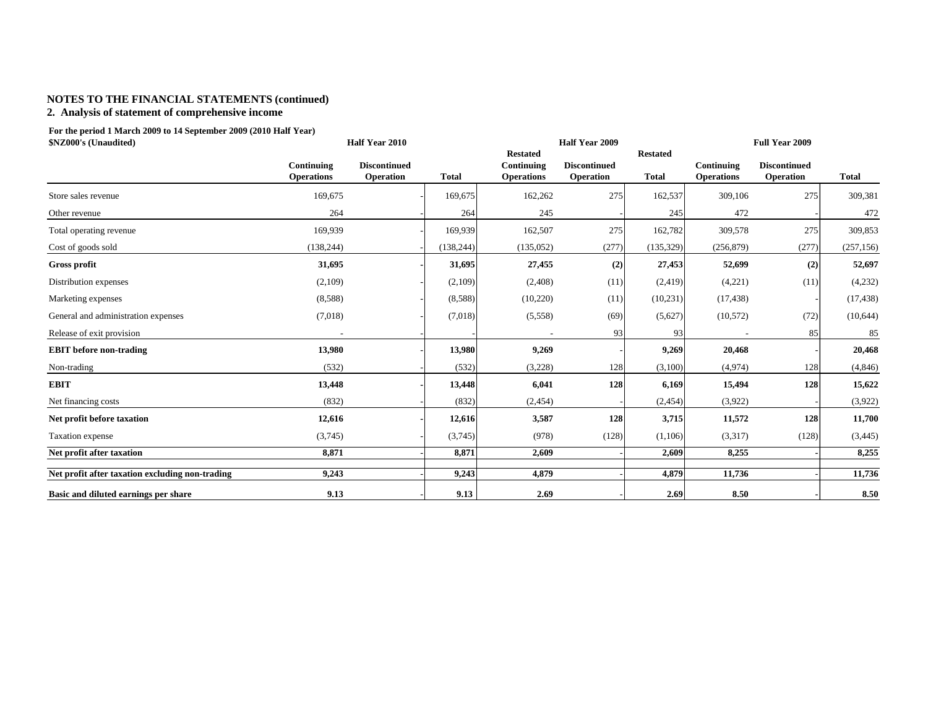# **NOTES TO THE FINANCIAL STATEMENTS (continued)**

## **2. Analysis of statement of comprehensive income**

**For the period 1 March 2009 to 14 September 2009 (2010 Half Year) \$NZ000's (Unaudited)**

| \$NZ000's (Unaudited)                           | Half Year 2010                  |                                  |              |                                                    | Half Year 2009                          |                                 |                                 | <b>Full Year 2009</b>            |              |  |  |
|-------------------------------------------------|---------------------------------|----------------------------------|--------------|----------------------------------------------------|-----------------------------------------|---------------------------------|---------------------------------|----------------------------------|--------------|--|--|
|                                                 | Continuing<br><b>Operations</b> | <b>Discontinued</b><br>Operation | <b>Total</b> | <b>Restated</b><br>Continuing<br><b>Operations</b> | <b>Discontinued</b><br><b>Operation</b> | <b>Restated</b><br><b>Total</b> | Continuing<br><b>Operations</b> | <b>Discontinued</b><br>Operation | <b>Total</b> |  |  |
| Store sales revenue                             | 169,675                         |                                  | 169,675      | 162,262                                            | 275                                     | 162,537                         | 309,106                         | 275                              | 309,381      |  |  |
| Other revenue                                   | 264                             |                                  | 264          | 245                                                |                                         | 245                             | 472                             |                                  | 472          |  |  |
| Total operating revenue                         | 169,939                         |                                  | 169,939      | 162,507                                            | 275                                     | 162,782                         | 309,578                         | 275                              | 309,853      |  |  |
| Cost of goods sold                              | (138, 244)                      |                                  | (138, 244)   | (135, 052)                                         | (277)                                   | (135, 329)                      | (256, 879)                      | (277)                            | (257, 156)   |  |  |
| Gross profit                                    | 31,695                          |                                  | 31,695       | 27,455                                             | (2)                                     | 27,453                          | 52,699                          | (2)                              | 52,697       |  |  |
| Distribution expenses                           | (2,109)                         |                                  | (2,109)      | (2,408)                                            | (11)                                    | (2, 419)                        | (4,221)                         | (11)                             | (4,232)      |  |  |
| Marketing expenses                              | (8,588)                         |                                  | (8,588)      | (10,220)                                           | (11)                                    | (10, 231)                       | (17, 438)                       |                                  | (17, 438)    |  |  |
| General and administration expenses             | (7,018)                         |                                  | (7,018)      | (5,558)                                            | (69)                                    | (5,627)                         | (10, 572)                       | (72)                             | (10,644)     |  |  |
| Release of exit provision                       |                                 |                                  |              |                                                    | 93                                      | 93                              |                                 | 85                               | 85           |  |  |
| <b>EBIT</b> before non-trading                  | 13,980                          |                                  | 13,980       | 9,269                                              |                                         | 9,269                           | 20,468                          |                                  | 20,468       |  |  |
| Non-trading                                     | (532)                           |                                  | (532)        | (3,228)                                            | 128                                     | (3,100)                         | (4,974)                         | 128                              | (4,846)      |  |  |
| <b>EBIT</b>                                     | 13,448                          |                                  | 13,448       | 6,041                                              | 128                                     | 6,169                           | 15,494                          | 128                              | 15,622       |  |  |
| Net financing costs                             | (832)                           |                                  | (832)        | (2, 454)                                           |                                         | (2, 454)                        | (3,922)                         |                                  | (3,922)      |  |  |
| Net profit before taxation                      | 12,616                          |                                  | 12,616       | 3,587                                              | 128                                     | 3,715                           | 11,572                          | 128                              | 11,700       |  |  |
| Taxation expense                                | (3,745)                         |                                  | (3,745)      | (978)                                              | (128)                                   | (1,106)                         | (3,317)                         | (128)                            | (3, 445)     |  |  |
| Net profit after taxation                       | 8,871                           |                                  | 8,871        | 2,609                                              |                                         | 2,609                           | 8,255                           |                                  | 8,255        |  |  |
| Net profit after taxation excluding non-trading | 9,243                           |                                  | 9,243        | 4,879                                              |                                         | 4,879                           | 11,736                          |                                  | 11,736       |  |  |
| Basic and diluted earnings per share            | 9.13                            |                                  | 9.13         | 2.69                                               |                                         | 2.69                            | 8.50                            |                                  | 8.50         |  |  |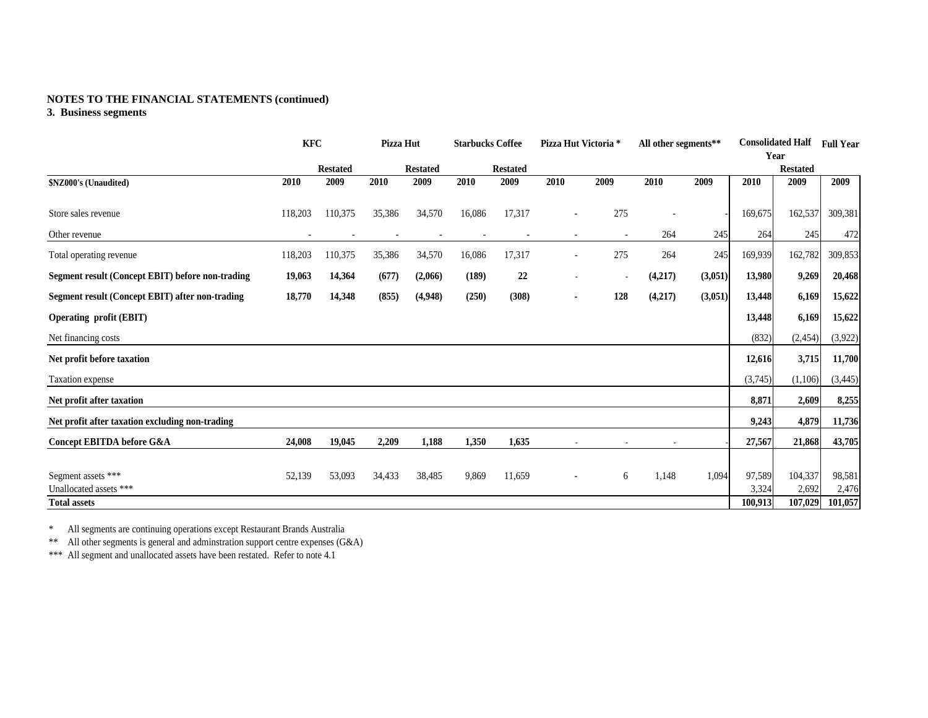## **NOTES TO THE FINANCIAL STATEMENTS (continued)**

## **3. Business segments**

|                                                         | <b>KFC</b> |                 | Pizza Hut |                 | <b>Starbucks Coffee</b> |                 | Pizza Hut Victoria *     |      | All other segments** |         |         | <b>Consolidated Half</b> | <b>Full Year</b> |
|---------------------------------------------------------|------------|-----------------|-----------|-----------------|-------------------------|-----------------|--------------------------|------|----------------------|---------|---------|--------------------------|------------------|
|                                                         |            |                 |           |                 |                         |                 |                          |      |                      |         |         | Year                     |                  |
|                                                         |            | <b>Restated</b> |           | <b>Restated</b> |                         | <b>Restated</b> |                          |      |                      |         |         | <b>Restated</b>          |                  |
| \$NZ000's (Unaudited)                                   | 2010       | 2009            | 2010      | 2009            | 2010                    | 2009            | 2010                     | 2009 | 2010                 | 2009    | 2010    | 2009                     | 2009             |
| Store sales revenue                                     | 118,203    | 110,375         | 35,386    | 34,570          | 16,086                  | 17,317          | $\overline{\phantom{a}}$ | 275  |                      |         | 169,675 | 162,537                  | 309,381          |
| Other revenue                                           |            |                 |           |                 |                         |                 |                          |      | 264                  | 245     | 264     | 245                      | 472              |
| Total operating revenue                                 | 118,203    | 110,375         | 35,386    | 34,570          | 16,086                  | 17,317          | $\blacksquare$           | 275  | 264                  | 245     | 169,939 | 162,782                  | 309,853          |
| <b>Segment result (Concept EBIT) before non-trading</b> | 19,063     | 14,364          | (677)     | (2,066)         | (189)                   | 22              |                          |      | (4,217)              | (3,051) | 13,980  | 9,269                    | 20,468           |
| Segment result (Concept EBIT) after non-trading         | 18,770     | 14,348          | (855)     | (4,948)         | (250)                   | (308)           | ٠                        | 128  | (4,217)              | (3,051) | 13,448  | 6,169                    | 15,622           |
| <b>Operating profit (EBIT)</b>                          |            |                 |           |                 |                         |                 |                          |      |                      |         | 13,448  | 6,169                    | 15,622           |
| Net financing costs                                     |            |                 |           |                 |                         |                 |                          |      |                      |         | (832)   | (2,454)                  | (3,922)          |
| Net profit before taxation                              |            |                 |           |                 |                         |                 |                          |      |                      |         | 12,616  | 3,715                    | 11,700           |
| Taxation expense                                        |            |                 |           |                 |                         |                 |                          |      |                      |         | (3,745) | (1,106)                  | (3, 445)         |
| Net profit after taxation                               |            |                 |           |                 |                         |                 |                          |      |                      |         | 8,871   | 2,609                    | 8,255            |
| Net profit after taxation excluding non-trading         |            |                 |           |                 |                         |                 |                          |      |                      |         | 9,243   | 4,879                    | 11,736           |
| Concept EBITDA before G&A                               | 24,008     | 19,045          | 2,209     | 1,188           | 1,350                   | 1,635           |                          |      |                      |         | 27,567  | 21,868                   | 43,705           |
|                                                         |            |                 |           |                 |                         |                 |                          |      |                      |         |         |                          |                  |
| Segment assets ***                                      | 52,139     | 53,093          | 34,433    | 38,485          | 9,869                   | 11,659          |                          | 6    | 1,148                | 1,094   | 97,589  | 104,337                  | 98,581           |
| Unallocated assets ***                                  |            |                 |           |                 |                         |                 |                          |      |                      |         | 3,324   | 2,692                    | 2,476            |
| <b>Total assets</b>                                     |            |                 |           |                 |                         |                 |                          |      |                      |         | 100,913 | 107,029                  | 101,057          |

All segments are continuing operations except Restaurant Brands Australia<br>\*\* All other segments is general and adminstration support centre expenses (G&A)<br>\*\*\* All segment and unallocated assets have been restated. Refer to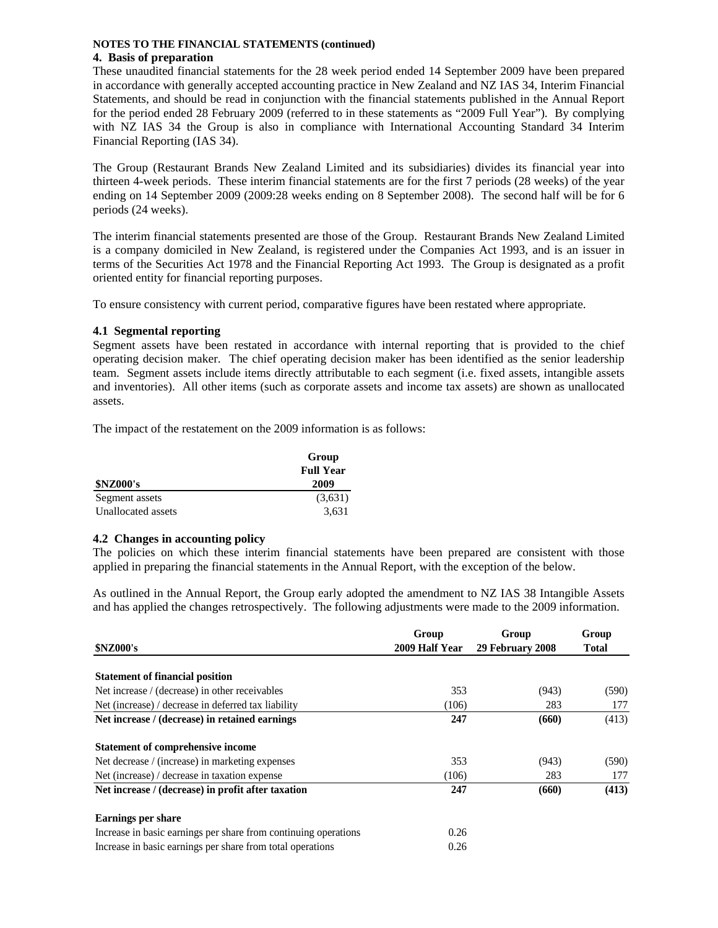#### **NOTES TO THE FINANCIAL STATEMENTS (continued) 4. Basis of preparation**

These unaudited financial statements for the 28 week period ended 14 September 2009 have been prepared in accordance with generally accepted accounting practice in New Zealand and NZ IAS 34, Interim Financial Statements, and should be read in conjunction with the financial statements published in the Annual Report for the period ended 28 February 2009 (referred to in these statements as "2009 Full Year"). By complying with NZ IAS 34 the Group is also in compliance with International Accounting Standard 34 Interim Financial Reporting (IAS 34).

The Group (Restaurant Brands New Zealand Limited and its subsidiaries) divides its financial year into thirteen 4-week periods. These interim financial statements are for the first 7 periods (28 weeks) of the year ending on 14 September 2009 (2009:28 weeks ending on 8 September 2008). The second half will be for 6 periods (24 weeks).

The interim financial statements presented are those of the Group. Restaurant Brands New Zealand Limited is a company domiciled in New Zealand, is registered under the Companies Act 1993, and is an issuer in terms of the Securities Act 1978 and the Financial Reporting Act 1993. The Group is designated as a profit oriented entity for financial reporting purposes.

To ensure consistency with current period, comparative figures have been restated where appropriate.

## **4.1 Segmental reporting**

Segment assets have been restated in accordance with internal reporting that is provided to the chief operating decision maker. The chief operating decision maker has been identified as the senior leadership team. Segment assets include items directly attributable to each segment (i.e. fixed assets, intangible assets and inventories). All other items (such as corporate assets and income tax assets) are shown as unallocated assets.

The impact of the restatement on the 2009 information is as follows:

|                    | Group            |
|--------------------|------------------|
|                    | <b>Full Year</b> |
| <b>\$NZ000's</b>   | 2009             |
| Segment assets     | (3,631)          |
| Unallocated assets | 3,631            |

#### **4.2 Changes in accounting policy**

The policies on which these interim financial statements have been prepared are consistent with those applied in preparing the financial statements in the Annual Report, with the exception of the below.

As outlined in the Annual Report, the Group early adopted the amendment to NZ IAS 38 Intangible Assets and has applied the changes retrospectively. The following adjustments were made to the 2009 information.

| <b>\$NZ000's</b>                                                | Group<br>2009 Half Year | Group<br>29 February 2008 | Group<br><b>Total</b> |
|-----------------------------------------------------------------|-------------------------|---------------------------|-----------------------|
|                                                                 |                         |                           |                       |
| <b>Statement of financial position</b>                          |                         |                           |                       |
| Net increase / (decrease) in other receivables                  | 353                     | (943)                     | (590)                 |
| Net (increase) / decrease in deferred tax liability             | (106)                   | 283                       | 177                   |
| Net increase / (decrease) in retained earnings                  | 247                     | (660)                     | (413)                 |
| <b>Statement of comprehensive income</b>                        |                         |                           |                       |
| Net decrease / (increase) in marketing expenses                 | 353                     | (943)                     | (590)                 |
| Net (increase) / decrease in taxation expense                   | (106)                   | 283                       | 177                   |
| Net increase / (decrease) in profit after taxation              | 247                     | (660)                     | (413)                 |
| <b>Earnings per share</b>                                       |                         |                           |                       |
| Increase in basic earnings per share from continuing operations | 0.26                    |                           |                       |
| Increase in basic earnings per share from total operations      | 0.26                    |                           |                       |